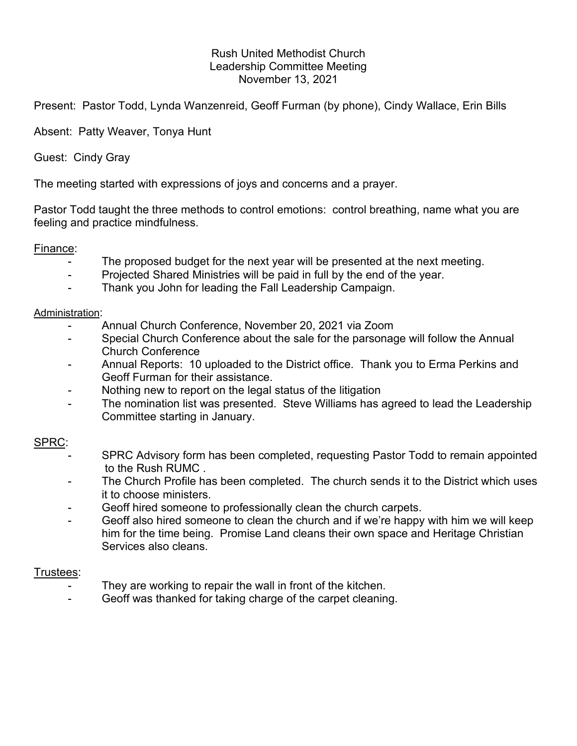# Rush United Methodist Church Leadership Committee Meeting November 13, 2021

Present: Pastor Todd, Lynda Wanzenreid, Geoff Furman (by phone), Cindy Wallace, Erin Bills

Absent: Patty Weaver, Tonya Hunt

Guest: Cindy Gray

The meeting started with expressions of joys and concerns and a prayer.

Pastor Todd taught the three methods to control emotions: control breathing, name what you are feeling and practice mindfulness.

## Finance:

- The proposed budget for the next year will be presented at the next meeting.
- Projected Shared Ministries will be paid in full by the end of the year.
- Thank you John for leading the Fall Leadership Campaign.

#### Administration:

- Annual Church Conference, November 20, 2021 via Zoom
- Special Church Conference about the sale for the parsonage will follow the Annual Church Conference
- Annual Reports: 10 uploaded to the District office. Thank you to Erma Perkins and Geoff Furman for their assistance.
- Nothing new to report on the legal status of the litigation
- The nomination list was presented. Steve Williams has agreed to lead the Leadership Committee starting in January.

## SPRC:

- SPRC Advisory form has been completed, requesting Pastor Todd to remain appointed to the Rush RUMC .
- The Church Profile has been completed. The church sends it to the District which uses it to choose ministers.
- Geoff hired someone to professionally clean the church carpets.
- Geoff also hired someone to clean the church and if we're happy with him we will keep him for the time being. Promise Land cleans their own space and Heritage Christian Services also cleans.

## Trustees:

- They are working to repair the wall in front of the kitchen.
- Geoff was thanked for taking charge of the carpet cleaning.